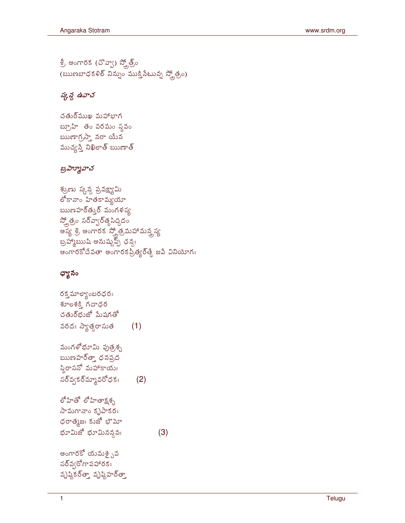శ్రీ అంగారక (చొవ్వా) స్క్రోత్ర్య్  $($ ఋణబాధకళిల్ నిన్నుం ముక్తి నేటున్న స్కోత్రం)

## స్కన్ద ఉవాచ

చతుర్ముఖ మహాభాగ బ్రూహి తం పరమం స్థవం ఋణాగ్రస్తా నరా యేన

రక్త మాల్యాంబరధరః శూలశక్తి గదాధర చతుర్థుజో మేషగతో వరదః స్యాత్ధరాసుత  $(1)$ మంగళోభూమి పుత్రశృ ఋణహర్త్తా ధనప్రద స్థిరాసనో మహాకాయః సర్వ్వకర్మ్మావరోధకః  $(2)$ లోహితో లోహితాక్షశ్చ సామగానాం కృపాకరః ధరాత్మజః కుజో భౌమో

 $(3)$ 

భూమిజో భూమినన్దనః

అంగారకో యమశై<sub>ఎ</sub>వ  $\mathbf{z}$ నర్వ్వేగాపహారకః

వృష్ఠికర్త్తా వృష్ణిహర్త్తా

## ధ్యానం

శ్రుణు స్కన్గ ప్రవక్ష్యామి లోకానాం హితకామ్యయా ఋణహర్తుర్ మంగళస్వ స్త్రోత్రం సర్వ్యార్త్ర సిద్దిదం అష్య శ్రీ అంగారక స్క్రోత్రమహామన్త్రష్య బ్రహ్మాఋషి అనుష్మవ్స్ ఛన్యః అంగారకోదేవతా అంగారకప్రీత్యర్తే జపే వినియోగః

## బ్రహ్మూవాచ

ముచ్యస్తే నిఖిలాత్ ఋణాత్